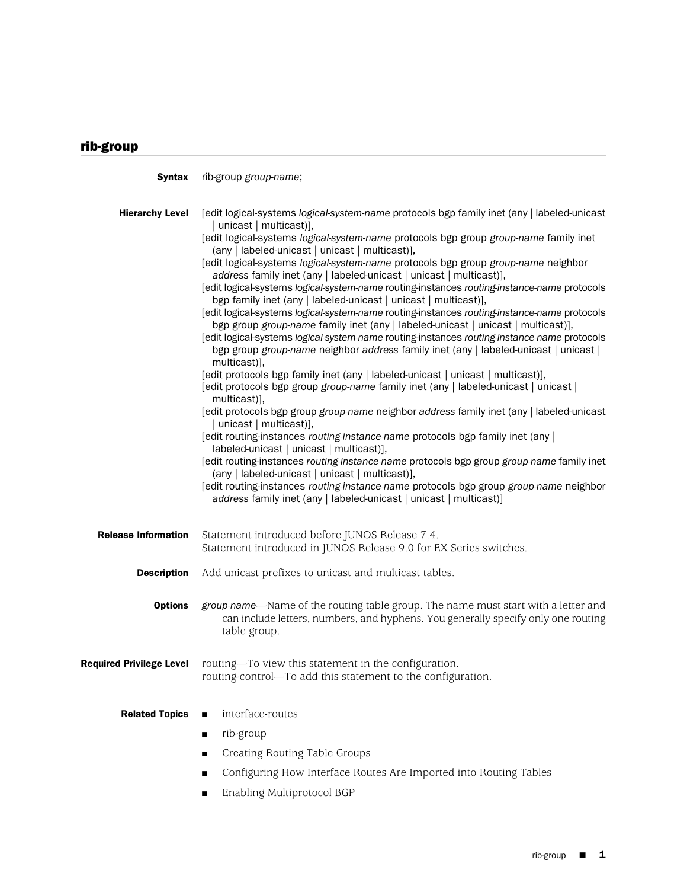## rib-group

Syntax rib-group *group-name*; Hierarchy Level [edit logical-systems *logical-system-name* protocols bgp family inet (any | labeled-unicast unicast | multicast)]. [edit logical-systems *logical-system-name* protocols bgp group *group-name* family inet (any | labeled-unicast | unicast | multicast)], [edit logical-systems *logical-system-name* protocols bgp group *group-name* neighbor *address* family inet (any | labeled-unicast | unicast | multicast)], [edit logical-systems *logical-system-name* routing-instances *routing-instance-name* protocols bgp family inet (any | labeled-unicast | unicast | multicast)], [edit logical-systems *logical-system-name* routing-instances *routing-instance-name* protocols bgp group *group-name* family inet (any | labeled-unicast | unicast | multicast)], [edit logical-systems *logical-system-name* routing-instances *routing-instance-name* protocols bgp group *group-name* neighbor *address* family inet (any | labeled-unicast | unicast | multicast)], [edit protocols bgp family inet (any | labeled-unicast | unicast | multicast)], [edit protocols bgp group *group-name* family inet (any | labeled-unicast | unicast | multicast)], [edit protocols bgp group *group-name* neighbor *address* family inet (any | labeled-unicast unicast | multicast)], [edit routing-instances *routing-instance-name* protocols bgp family inet (any | labeled-unicast | unicast | multicast)], [edit routing-instances *routing-instance-name* protocols bgp group *group-name* family inet (any | labeled-unicast | unicast | multicast)], [edit routing-instances *routing-instance-name* protocols bgp group *group-name* neighbor *address* family inet (any | labeled-unicast | unicast | multicast)] Release Information Statement introduced before JUNOS Release 7.4. Statement introduced in JUNOS Release 9.0 for EX Series switches. **Description** Add unicast prefixes to unicast and multicast tables. **Options** *group-name*—Name of the routing table group. The name must start with a letter and can include letters, numbers, and hyphens. You generally specify only one routing table group. **Required Privilege Level** routing—To view this statement in the configuration. routing-control—To add this statement to the configuration. Related Topics ■ interface-routes rib-group Creating Routing Table Groups Configuring How Interface Routes Are Imported into Routing Tables

■ Enabling Multiprotocol BGP